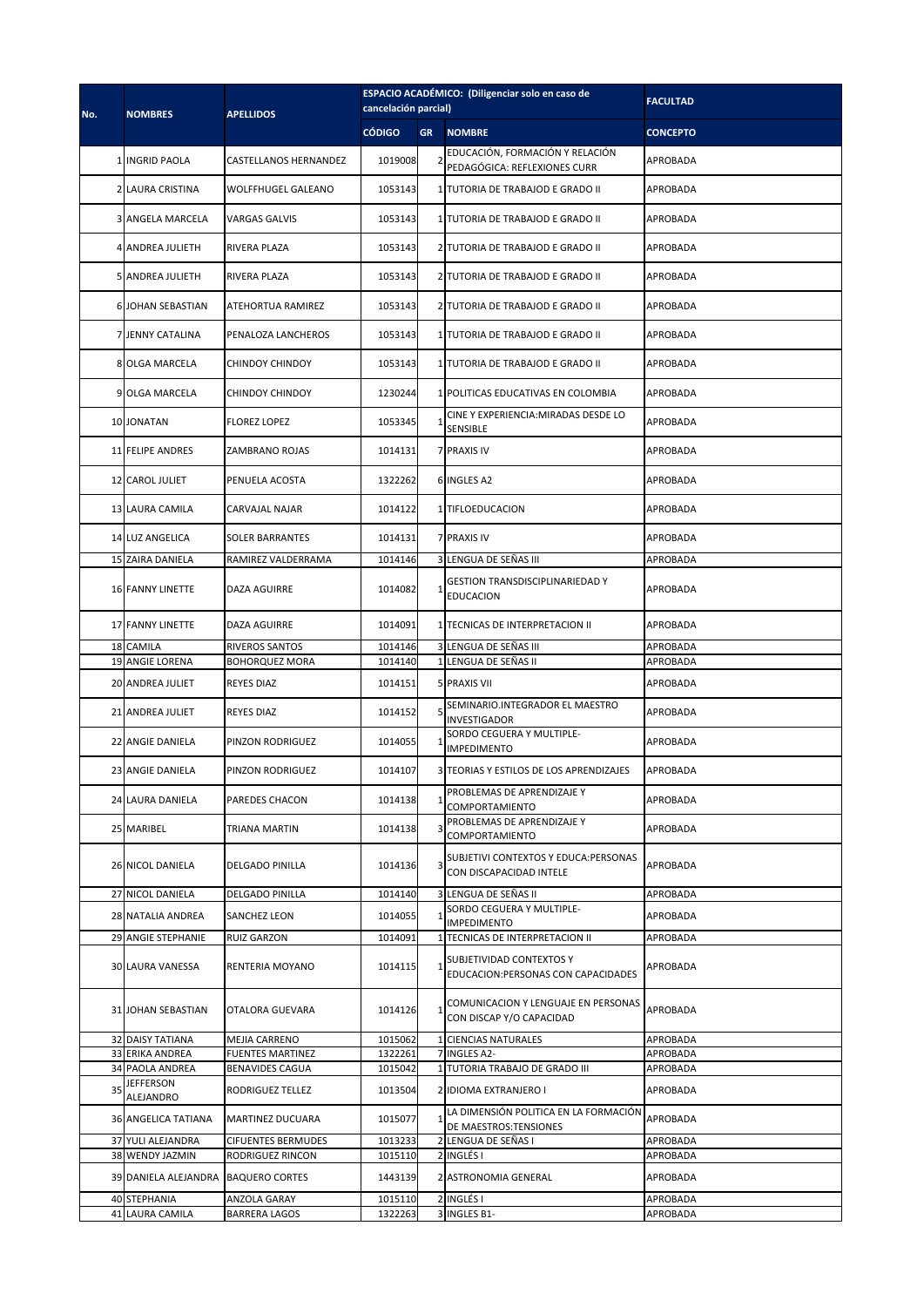| No. | <b>NOMBRES</b>                            | <b>APELLIDOS</b>                              | ESPACIO ACADÉMICO: (Diligenciar solo en caso de<br>cancelación parcial) |           |                                                                  | <b>FACULTAD</b>      |
|-----|-------------------------------------------|-----------------------------------------------|-------------------------------------------------------------------------|-----------|------------------------------------------------------------------|----------------------|
|     |                                           |                                               | <b>CÓDIGO</b>                                                           | <b>GR</b> | <b>NOMBRE</b>                                                    | <b>CONCEPTO</b>      |
|     | <b>1 INGRID PAOLA</b>                     | CASTELLANOS HERNANDEZ                         | 1019008                                                                 |           | EDUCACIÓN, FORMACIÓN Y RELACIÓN<br>PEDAGÓGICA: REFLEXIONES CURR  | APROBADA             |
|     | 2 LAURA CRISTINA                          | <b>WOLFFHUGEL GALEANO</b>                     | 1053143                                                                 |           | 1 TUTORIA DE TRABAJOD E GRADO II                                 | APROBADA             |
|     | <b>3 ANGELA MARCELA</b>                   | VARGAS GALVIS                                 | 1053143                                                                 |           | 1 TUTORIA DE TRABAJOD E GRADO II                                 | APROBADA             |
|     | 4 ANDREA JULIETH                          | RIVERA PLAZA                                  | 1053143                                                                 |           | 2 TUTORIA DE TRABAJOD E GRADO II                                 | APROBADA             |
|     | <b>5 ANDREA JULIETH</b>                   | RIVERA PLAZA                                  | 1053143                                                                 |           | 2 TUTORIA DE TRABAJOD E GRADO II                                 | <b>APROBADA</b>      |
|     | <b>6 JOHAN SEBASTIAN</b>                  | ATEHORTUA RAMIREZ                             | 1053143                                                                 |           | 2 TUTORIA DE TRABAJOD E GRADO II                                 | APROBADA             |
|     | 7 JENNY CATALINA                          | PENALOZA LANCHEROS                            | 1053143                                                                 |           | 1 TUTORIA DE TRABAJOD E GRADO II                                 | APROBADA             |
|     | 8 OLGA MARCELA                            | <b>CHINDOY CHINDOY</b>                        | 1053143                                                                 |           | 1 TUTORIA DE TRABAJOD E GRADO II                                 | APROBADA             |
|     | 9 OLGA MARCELA                            | CHINDOY CHINDOY                               | 1230244                                                                 |           | 1 POLITICAS EDUCATIVAS EN COLOMBIA                               | APROBADA             |
|     | 10 JONATAN                                | <b>FLOREZ LOPEZ</b>                           | 1053345                                                                 |           | CINE Y EXPERIENCIA: MIRADAS DESDE LO<br>SENSIBLE                 | APROBADA             |
|     | <b>11 FELIPE ANDRES</b>                   | ZAMBRANO ROJAS                                | 1014131                                                                 |           | <b>7 PRAXIS IV</b>                                               | APROBADA             |
|     | 12 CAROL JULIET                           | PENUELA ACOSTA                                | 1322262                                                                 |           | 6 INGLES A2                                                      | APROBADA             |
|     | 13 LAURA CAMILA                           | CARVAJAL NAJAR                                | 1014122                                                                 |           | 1 TIFLOEDUCACION                                                 | APROBADA             |
|     | 14 LUZ ANGELICA                           | SOLER BARRANTES                               | 1014131                                                                 |           | 7 PRAXIS IV                                                      | APROBADA             |
|     | 15 ZAIRA DANIELA                          | RAMIREZ VALDERRAMA                            | 1014146                                                                 |           | 3 LENGUA DE SEÑAS III                                            | APROBADA             |
|     | <b>16 FANNY LINETTE</b>                   | DAZA AGUIRRE                                  | 1014082                                                                 |           | <b>GESTION TRANSDISCIPLINARIEDAD Y</b><br><b>EDUCACION</b>       | APROBADA             |
|     | 17 FANNY LINETTE                          | <b>DAZA AGUIRRE</b>                           | 1014091                                                                 |           | 1 TECNICAS DE INTERPRETACION II                                  | APROBADA             |
|     | 18 CAMILA                                 | RIVEROS SANTOS                                | 1014146                                                                 |           | 3 LENGUA DE SEÑAS III                                            | APROBADA             |
|     | 19 ANGIE LORENA                           | <b>BOHORQUEZ MORA</b>                         | 1014140                                                                 |           | LENGUA DE SEÑAS II                                               | APROBADA             |
|     | 20 ANDREA JULIET                          | <b>REYES DIAZ</b>                             | 1014151                                                                 |           | <b>5 PRAXIS VII</b>                                              | APROBADA             |
|     | 21 ANDREA JULIET                          | <b>REYES DIAZ</b>                             | 1014152                                                                 |           | SEMINARIO.INTEGRADOR EL MAESTRO<br>INVESTIGADOR                  | APROBADA             |
|     | 22 ANGIE DANIELA                          | PINZON RODRIGUEZ                              | 1014055                                                                 |           | SORDO CEGUERA Y MULTIPLE-<br>IMPEDIMENTO                         | APROBADA             |
|     | 23 ANGIE DANIELA                          | PINZON RODRIGUEZ                              | 1014107                                                                 |           | 3 TEORIAS Y ESTILOS DE LOS APRENDIZAJES                          | APROBADA             |
|     | <b>24 LAURA DANIELA</b>                   | PAREDES CHACON                                | 1014138                                                                 |           | PROBLEMAS DE APRENDIZAJE Y<br>COMPORTAMIENTO                     | APROBADA             |
|     | 25 MARIBEL                                | TRIANA MARTIN                                 | 1014138                                                                 |           | PROBLEMAS DE APRENDIZAJE Y<br>COMPORTAMIENTO                     | APROBADA             |
|     | 26 NICOL DANIELA                          | <b>DELGADO PINILLA</b>                        | 1014136                                                                 |           | SUBJETIVI CONTEXTOS Y EDUCA: PERSONAS<br>CON DISCAPACIDAD INTELE | APROBADA             |
|     | 27 NICOL DANIELA                          | DELGADO PINILLA                               | 1014140                                                                 |           | 3 LENGUA DE SEÑAS II                                             | APROBADA             |
|     | <b>28 NATALIA ANDREA</b>                  | SANCHEZ LEON                                  | 1014055                                                                 |           | SORDO CEGUERA Y MULTIPLE-<br><b>IMPEDIMENTO</b>                  | APROBADA             |
|     | <b>29 ANGIE STEPHANIE</b>                 | RUIZ GARZON                                   | 1014091                                                                 |           | TECNICAS DE INTERPRETACION II                                    | APROBADA             |
|     | 30 LAURA VANESSA                          | RENTERIA MOYANO                               | 1014115                                                                 |           | SUBJETIVIDAD CONTEXTOS Y<br>EDUCACION:PERSONAS CON CAPACIDADES   | APROBADA             |
|     | 31 JOHAN SEBASTIAN                        | OTALORA GUEVARA                               | 1014126                                                                 |           | COMUNICACION Y LENGUAJE EN PERSONAS<br>CON DISCAP Y/O CAPACIDAD  | APROBADA             |
|     | 32 DAISY TATIANA                          | MEJIA CARRENO                                 | 1015062                                                                 |           | <b>CIENCIAS NATURALES</b>                                        | APROBADA             |
|     | 33 ERIKA ANDREA<br><b>34 PAOLA ANDREA</b> | <b>FUENTES MARTINEZ</b>                       | 1322261                                                                 |           | <b>INGLES A2-</b><br>TUTORIA TRABAJO DE GRADO III                | APROBADA             |
|     | <b>JEFFERSON</b>                          | BENAVIDES CAGUA                               | 1015042                                                                 |           |                                                                  | APROBADA             |
| 35  | ALEJANDRO                                 | RODRIGUEZ TELLEZ                              | 1013504                                                                 |           | 2 IDIOMA EXTRANJERO I<br>LA DIMENSIÓN POLITICA EN LA FORMACIÓN   | APROBADA             |
|     | <b>36 ANGELICA TATIANA</b>                | <b>MARTINEZ DUCUARA</b>                       | 1015077                                                                 |           | DE MAESTROS:TENSIONES                                            | APROBADA             |
|     | 37 YULI ALEJANDRA<br>38 WENDY JAZMIN      | <b>CIFUENTES BERMUDES</b><br>RODRIGUEZ RINCON | 1013233<br>1015110                                                      |           | 2 LENGUA DE SEÑAS I<br><b>INGLÉS I</b>                           | APROBADA<br>APROBADA |
|     | 39 DANIELA ALEJANDRA BAQUERO CORTES       |                                               | 1443139                                                                 |           | 2 ASTRONOMIA GENERAL                                             | APROBADA             |
|     | 40 STEPHANIA                              | ANZOLA GARAY                                  | 1015110                                                                 |           | 2 INGLÉS I                                                       | APROBADA             |
|     | 41 LAURA CAMILA                           | <b>BARRERA LAGOS</b>                          | 1322263                                                                 |           | 3 INGLES B1-                                                     | APROBADA             |